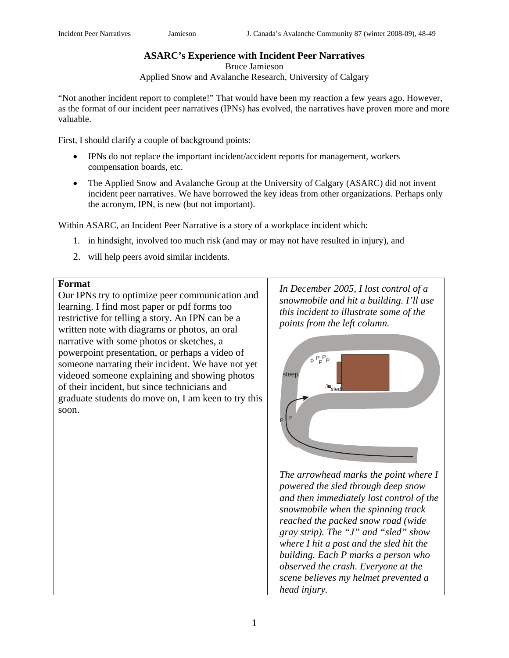# **ASARC's Experience with Incident Peer Narratives**

Bruce Jamieson

Applied Snow and Avalanche Research, University of Calgary

"Not another incident report to complete!" That would have been my reaction a few years ago. However, as the format of our incident peer narratives (IPNs) has evolved, the narratives have proven more and more valuable.

First, I should clarify a couple of background points:

- IPNs do not replace the important incident/accident reports for management, workers compensation boards, etc.
- The Applied Snow and Avalanche Group at the University of Calgary (ASARC) did not invent incident peer narratives. We have borrowed the key ideas from other organizations. Perhaps only the acronym, IPN, is new (but not important).

Within ASARC, an Incident Peer Narrative is a story of a workplace incident which:

- 1. in hindsight, involved too much risk (and may or may not have resulted in injury), and
- 2. will help peers avoid similar incidents.

### **Format**

Our IPNs try to optimize peer communication and learning. I find most paper or pdf forms too restrictive for telling a story. An IPN can be a written note with diagrams or photos, an oral narrative with some photos or sketches, a powerpoint presentation, or perhaps a video of someone narrating their incident. We have not yet videoed someone explaining and showing photos of their incident, but since technicians and graduate students do move on, I am keen to try this soon.

*In December 2005, I lost control of a snowmobile and hit a building. I'll use this incident to illustrate some of the points from the left column.* 



*The arrowhead marks the point where I powered the sled through deep snow and then immediately lost control of the snowmobile when the spinning track reached the packed snow road (wide gray strip). The "J" and "sled" show where I hit a post and the sled hit the building. Each P marks a person who observed the crash. Everyone at the scene believes my helmet prevented a head injury.*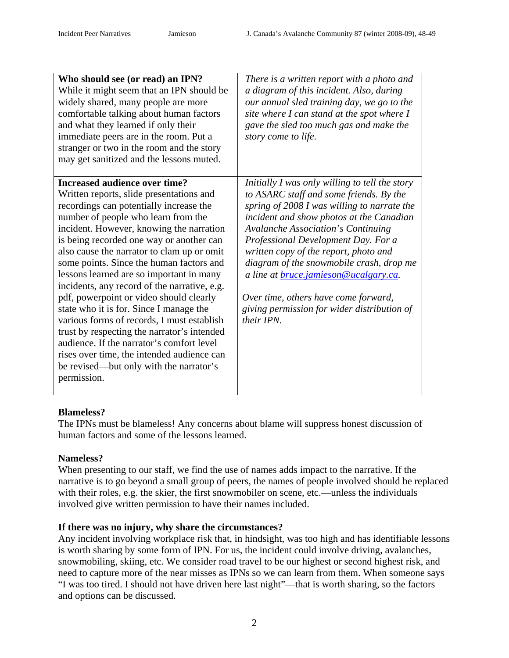| Who should see (or read) an IPN?<br>While it might seem that an IPN should be<br>widely shared, many people are more<br>comfortable talking about human factors<br>and what they learned if only their<br>immediate peers are in the room. Put a<br>stranger or two in the room and the story                                                                                                                                                                                                                                                                                                                                                                                                                                                                                     | There is a written report with a photo and<br>a diagram of this incident. Also, during<br>our annual sled training day, we go to the<br>site where I can stand at the spot where I<br>gave the sled too much gas and make the<br>story come to life.                                                                                                                                                                                                                                                               |
|-----------------------------------------------------------------------------------------------------------------------------------------------------------------------------------------------------------------------------------------------------------------------------------------------------------------------------------------------------------------------------------------------------------------------------------------------------------------------------------------------------------------------------------------------------------------------------------------------------------------------------------------------------------------------------------------------------------------------------------------------------------------------------------|--------------------------------------------------------------------------------------------------------------------------------------------------------------------------------------------------------------------------------------------------------------------------------------------------------------------------------------------------------------------------------------------------------------------------------------------------------------------------------------------------------------------|
| may get sanitized and the lessons muted.                                                                                                                                                                                                                                                                                                                                                                                                                                                                                                                                                                                                                                                                                                                                          |                                                                                                                                                                                                                                                                                                                                                                                                                                                                                                                    |
| Increased audience over time?<br>Written reports, slide presentations and<br>recordings can potentially increase the<br>number of people who learn from the<br>incident. However, knowing the narration<br>is being recorded one way or another can<br>also cause the narrator to clam up or omit<br>some points. Since the human factors and<br>lessons learned are so important in many<br>incidents, any record of the narrative, e.g.<br>pdf, powerpoint or video should clearly<br>state who it is for. Since I manage the<br>various forms of records, I must establish<br>trust by respecting the narrator's intended<br>audience. If the narrator's comfort level<br>rises over time, the intended audience can<br>be revised—but only with the narrator's<br>permission. | Initially I was only willing to tell the story<br>to ASARC staff and some friends. By the<br>spring of 2008 I was willing to narrate the<br>incident and show photos at the Canadian<br><b>Avalanche Association's Continuing</b><br>Professional Development Day. For a<br>written copy of the report, photo and<br>diagram of the snowmobile crash, drop me<br>a line at <i>bruce.jamieson@ucalgary.ca.</i><br>Over time, others have come forward,<br>giving permission for wider distribution of<br>their IPN. |

# **Blameless?**

The IPNs must be blameless! Any concerns about blame will suppress honest discussion of human factors and some of the lessons learned.

# **Nameless?**

When presenting to our staff, we find the use of names adds impact to the narrative. If the narrative is to go beyond a small group of peers, the names of people involved should be replaced with their roles, e.g. the skier, the first snowmobiler on scene, etc.—unless the individuals involved give written permission to have their names included.

# **If there was no injury, why share the circumstances?**

Any incident involving workplace risk that, in hindsight, was too high and has identifiable lessons is worth sharing by some form of IPN. For us, the incident could involve driving, avalanches, snowmobiling, skiing, etc. We consider road travel to be our highest or second highest risk, and need to capture more of the near misses as IPNs so we can learn from them. When someone says "I was too tired. I should not have driven here last night"—that is worth sharing, so the factors and options can be discussed.